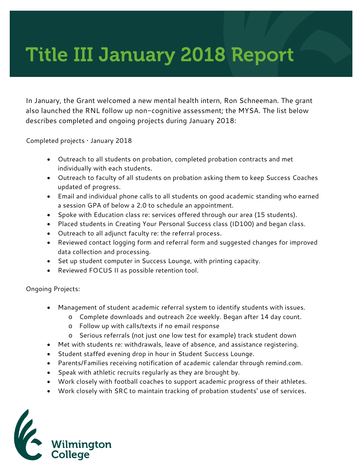## Title III January 2018 Report

In January, the Grant welcomed a new mental health intern, Ron Schneeman. The grant also launched the RNL follow up non-cognitive assessment; the MYSA. The list below describes completed and ongoing projects during January 2018:

Completed projects • January 2018

- Outreach to all students on probation, completed probation contracts and met individually with each students.
- Outreach to faculty of all students on probation asking them to keep Success Coaches updated of progress.
- Email and individual phone calls to all students on good academic standing who earned a session GPA of below a 2.0 to schedule an appointment.
- Spoke with Education class re: services offered through our area (15 students).
- Placed students in Creating Your Personal Success class (ID100) and began class.
- Outreach to all adjunct faculty re: the referral process.
- Reviewed contact logging form and referral form and suggested changes for improved data collection and processing.
- Set up student computer in Success Lounge, with printing capacity.
- Reviewed FOCUS II as possible retention tool.

Ongoing Projects:

- Management of student academic referral system to identify students with issues.
	- o Complete downloads and outreach 2ce weekly. Began after 14 day count.
	- o Follow up with calls/texts if no email response
	- o Serious referrals (not just one low test for example) track student down
- Met with students re: withdrawals, leave of absence, and assistance registering.
- Student staffed evening drop in hour in Student Success Lounge.
- Parents/Families receiving notification of academic calendar through remind.com.
- Speak with athletic recruits regularly as they are brought by.
- Work closely with football coaches to support academic progress of their athletes.
- Work closely with SRC to maintain tracking of probation students' use of services.

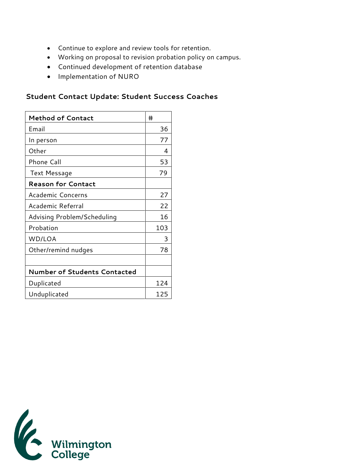- Continue to explore and review tools for retention.
- Working on proposal to revision probation policy on campus.
- Continued development of retention database
- Implementation of NURO

## **Student Contact Update: Student Success Coaches**

| <b>Method of Contact</b>            | #   |
|-------------------------------------|-----|
| Email                               | 36  |
| In person                           | 77  |
| Other                               | 4   |
| Phone Call                          | 53  |
| Text Message                        | 79  |
| <b>Reason for Contact</b>           |     |
| Academic Concerns                   | 27  |
| Academic Referral                   | 22  |
| Advising Problem/Scheduling         | 16  |
| Probation                           | 103 |
| WD/LOA                              | 3   |
| Other/remind nudges                 | 78  |
|                                     |     |
| <b>Number of Students Contacted</b> |     |
| Duplicated                          | 124 |
| Unduplicated                        | 125 |